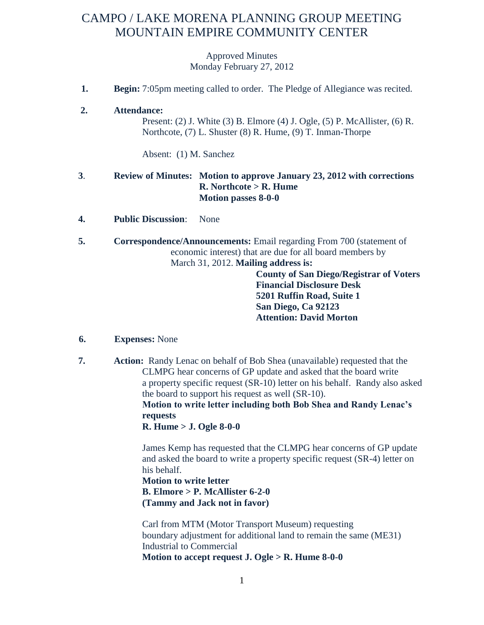# CAMPO / LAKE MORENA PLANNING GROUP MEETING MOUNTAIN EMPIRE COMMUNITY CENTER

Approved Minutes Monday February 27, 2012

 **1. Begin:** 7:05pm meeting called to order. The Pledge of Allegiance was recited.

#### **2. Attendance:**

Present: (2) J. White (3) B. Elmore (4) J. Ogle, (5) P. McAllister, (6) R. Northcote, (7) L. Shuster (8) R. Hume, (9) T. Inman-Thorpe

Absent: (1) M. Sanchez

### **3**. **Review of Minutes: Motion to approve January 23, 2012 with corrections R. Northcote > R. Hume Motion passes 8-0-0**

- **4. Public Discussion**: None
- **5. Correspondence/Announcements:** Email regarding From 700 (statement of economic interest) that are due for all board members by March 31, 2012. **Mailing address is:**

**County of San Diego/Registrar of Voters Financial Disclosure Desk 5201 Ruffin Road, Suite 1 San Diego, Ca 92123 Attention: David Morton**

#### **6. Expenses:** None

 **7. Action:** Randy Lenac on behalf of Bob Shea (unavailable) requested that the CLMPG hear concerns of GP update and asked that the board write a property specific request (SR-10) letter on his behalf. Randy also asked the board to support his request as well (SR-10).

**Motion to write letter including both Bob Shea and Randy Lenac's requests**

**R. Hume > J. Ogle 8-0-0**

James Kemp has requested that the CLMPG hear concerns of GP update and asked the board to write a property specific request (SR-4) letter on his behalf.

## **Motion to write letter B. Elmore > P. McAllister 6-2-0 (Tammy and Jack not in favor)**

Carl from MTM (Motor Transport Museum) requesting boundary adjustment for additional land to remain the same (ME31) Industrial to Commercial **Motion to accept request J. Ogle > R. Hume 8-0-0**